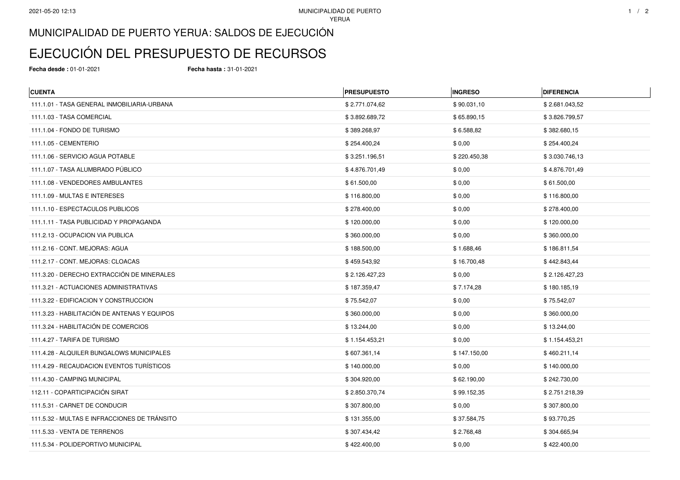## MUNICIPALIDAD DE PUERTO YERUA: SALDOS DE EJECUCIÓN

## EJECUCIÓN DEL PRESUPUESTO DE RECURSOS

**Fecha desde :** 01-01-2021 **Fecha hasta :** 31-01-2021

| <b>CUENTA</b>                                | <b>PRESUPUESTO</b> | <b>INGRESO</b> | <b>DIFERENCIA</b> |
|----------------------------------------------|--------------------|----------------|-------------------|
| 111.1.01 - TASA GENERAL INMOBILIARIA-URBANA  | \$2.771.074,62     | \$90.031,10    | \$2.681.043.52    |
| 111.1.03 - TASA COMERCIAL                    | \$3.892.689,72     | \$65.890,15    | \$3.826.799,57    |
| 111.1.04 - FONDO DE TURISMO                  | \$389.268,97       | \$6.588,82     | \$382.680,15      |
| 111.1.05 - CEMENTERIO                        | \$254.400,24       | \$0,00         | \$254.400,24      |
| 111.1.06 - SERVICIO AGUA POTABLE             | \$3.251.196,51     | \$220.450,38   | \$3.030.746,13    |
| 111.1.07 - TASA ALUMBRADO PÚBLICO            | \$4.876.701,49     | \$0,00         | \$4.876.701,49    |
| 111.1.08 - VENDEDORES AMBULANTES             | \$61.500,00        | \$0,00         | \$61.500,00       |
| 111.1.09 - MULTAS E INTERESES                | \$116.800,00       | \$0,00         | \$116.800,00      |
| 111.1.10 - ESPECTACULOS PUBLICOS             | \$278.400,00       | \$0,00         | \$278.400,00      |
| 111.1.11 - TASA PUBLICIDAD Y PROPAGANDA      | \$120.000,00       | \$0,00         | \$120.000,00      |
| 111.2.13 - OCUPACION VIA PUBLICA             | \$360.000,00       | \$0,00         | \$360.000,00      |
| 111.2.16 - CONT. MEJORAS: AGUA               | \$188.500,00       | \$1.688,46     | \$186.811,54      |
| 111.2.17 - CONT. MEJORAS: CLOACAS            | \$459.543,92       | \$16.700,48    | \$442.843,44      |
| 111.3.20 - DERECHO EXTRACCIÓN DE MINERALES   | \$2.126.427,23     | \$0,00         | \$2.126.427,23    |
| 111.3.21 - ACTUACIONES ADMINISTRATIVAS       | \$187.359,47       | \$7.174,28     | \$180.185,19      |
| 111.3.22 - EDIFICACION Y CONSTRUCCION        | \$75.542,07        | \$0,00         | \$75.542,07       |
| 111.3.23 - HABILITACIÓN DE ANTENAS Y EQUIPOS | \$360.000,00       | \$0,00         | \$360.000,00      |
| 111.3.24 - HABILITACIÓN DE COMERCIOS         | \$13.244,00        | \$0,00         | \$13.244,00       |
| 111.4.27 - TARIFA DE TURISMO                 | \$1.154.453,21     | \$0,00         | \$1.154.453,21    |
| 111.4.28 - ALQUILER BUNGALOWS MUNICIPALES    | \$607.361,14       | \$147.150,00   | \$460.211,14      |
| 111.4.29 - RECAUDACION EVENTOS TURÍSTICOS    | \$140.000,00       | \$0,00         | \$140.000,00      |
| 111.4.30 - CAMPING MUNICIPAL                 | \$304.920,00       | \$62.190,00    | \$242.730,00      |
| 112.11 - COPARTICIPACIÓN SIRAT               | \$2.850.370,74     | \$99.152,35    | \$2.751.218,39    |
| 111.5.31 - CARNET DE CONDUCIR                | \$307.800,00       | \$0,00         | \$307.800,00      |
| 111.5.32 - MULTAS E INFRACCIONES DE TRÁNSITO | \$131.355,00       | \$37.584,75    | \$93.770,25       |
| 111.5.33 - VENTA DE TERRENOS                 | \$307.434,42       | \$2.768,48     | \$304.665,94      |
| 111.5.34 - POLIDEPORTIVO MUNICIPAL           | \$422.400,00       | \$0,00         | \$422.400,00      |